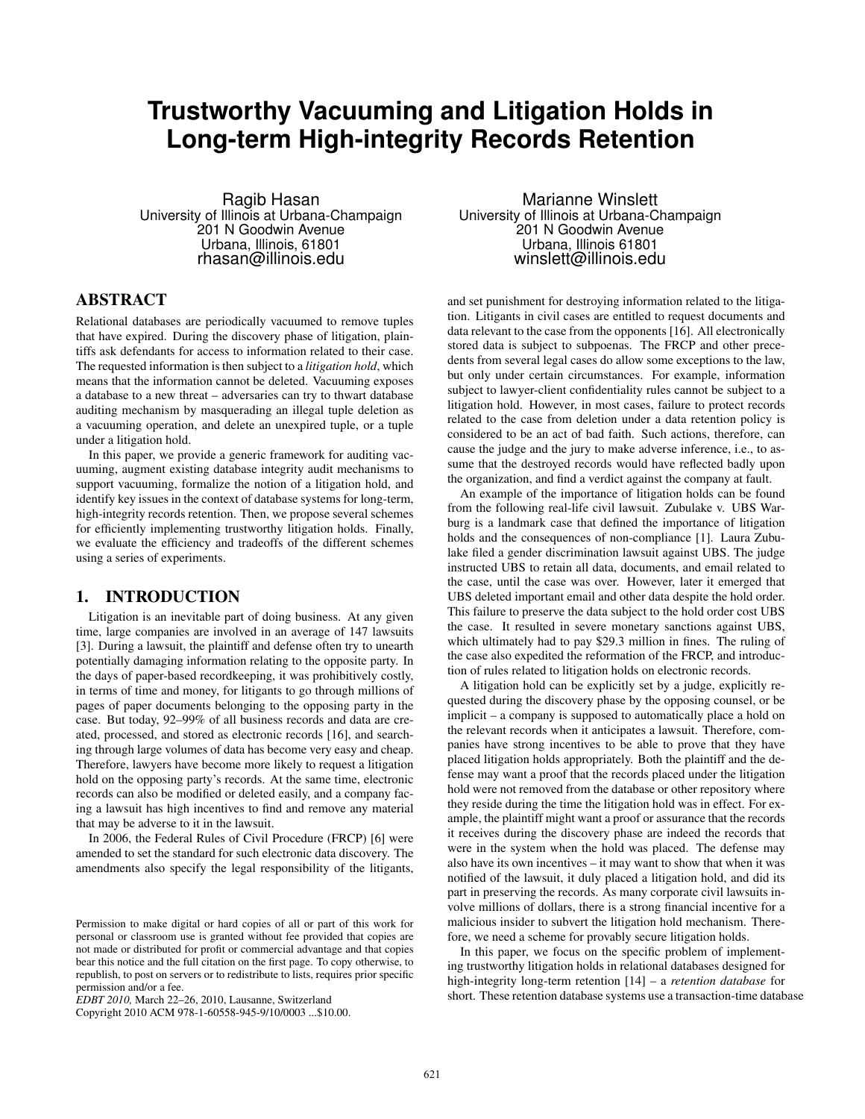# **Trustworthy Vacuuming and Litigation Holds in Long-term High-integrity Records Retention**

Ragib Hasan University of Illinois at Urbana-Champaign 201 N Goodwin Avenue Urbana, Illinois, 61801 rhasan@illinois.edu

# ABSTRACT

Relational databases are periodically vacuumed to remove tuples that have expired. During the discovery phase of litigation, plaintiffs ask defendants for access to information related to their case. The requested information is then subject to a *litigation hold*, which means that the information cannot be deleted. Vacuuming exposes a database to a new threat – adversaries can try to thwart database auditing mechanism by masquerading an illegal tuple deletion as a vacuuming operation, and delete an unexpired tuple, or a tuple under a litigation hold.

In this paper, we provide a generic framework for auditing vacuuming, augment existing database integrity audit mechanisms to support vacuuming, formalize the notion of a litigation hold, and identify key issues in the context of database systems for long-term, high-integrity records retention. Then, we propose several schemes for efficiently implementing trustworthy litigation holds. Finally, we evaluate the efficiency and tradeoffs of the different schemes using a series of experiments.

# 1. INTRODUCTION

Litigation is an inevitable part of doing business. At any given time, large companies are involved in an average of 147 lawsuits [3]. During a lawsuit, the plaintiff and defense often try to unearth potentially damaging information relating to the opposite party. In the days of paper-based recordkeeping, it was prohibitively costly, in terms of time and money, for litigants to go through millions of pages of paper documents belonging to the opposing party in the case. But today, 92–99% of all business records and data are created, processed, and stored as electronic records [16], and searching through large volumes of data has become very easy and cheap. Therefore, lawyers have become more likely to request a litigation hold on the opposing party's records. At the same time, electronic records can also be modified or deleted easily, and a company facing a lawsuit has high incentives to find and remove any material that may be adverse to it in the lawsuit.

In 2006, the Federal Rules of Civil Procedure (FRCP) [6] were amended to set the standard for such electronic data discovery. The amendments also specify the legal responsibility of the litigants,

Marianne Winslett University of Illinois at Urbana-Champaign 201 N Goodwin Avenue Urbana, Illinois 61801 winslett@illinois.edu

and set punishment for destroying information related to the litigation. Litigants in civil cases are entitled to request documents and data relevant to the case from the opponents [16]. All electronically stored data is subject to subpoenas. The FRCP and other precedents from several legal cases do allow some exceptions to the law, but only under certain circumstances. For example, information subject to lawyer-client confidentiality rules cannot be subject to a litigation hold. However, in most cases, failure to protect records related to the case from deletion under a data retention policy is considered to be an act of bad faith. Such actions, therefore, can cause the judge and the jury to make adverse inference, i.e., to assume that the destroyed records would have reflected badly upon the organization, and find a verdict against the company at fault.

An example of the importance of litigation holds can be found from the following real-life civil lawsuit. Zubulake v. UBS Warburg is a landmark case that defined the importance of litigation holds and the consequences of non-compliance [1]. Laura Zubulake filed a gender discrimination lawsuit against UBS. The judge instructed UBS to retain all data, documents, and email related to the case, until the case was over. However, later it emerged that UBS deleted important email and other data despite the hold order. This failure to preserve the data subject to the hold order cost UBS the case. It resulted in severe monetary sanctions against UBS, which ultimately had to pay \$29.3 million in fines. The ruling of the case also expedited the reformation of the FRCP, and introduction of rules related to litigation holds on electronic records.

A litigation hold can be explicitly set by a judge, explicitly requested during the discovery phase by the opposing counsel, or be implicit – a company is supposed to automatically place a hold on the relevant records when it anticipates a lawsuit. Therefore, companies have strong incentives to be able to prove that they have placed litigation holds appropriately. Both the plaintiff and the defense may want a proof that the records placed under the litigation hold were not removed from the database or other repository where they reside during the time the litigation hold was in effect. For example, the plaintiff might want a proof or assurance that the records it receives during the discovery phase are indeed the records that were in the system when the hold was placed. The defense may also have its own incentives – it may want to show that when it was notified of the lawsuit, it duly placed a litigation hold, and did its part in preserving the records. As many corporate civil lawsuits involve millions of dollars, there is a strong financial incentive for a malicious insider to subvert the litigation hold mechanism. Therefore, we need a scheme for provably secure litigation holds.

In this paper, we focus on the specific problem of implementing trustworthy litigation holds in relational databases designed for high-integrity long-term retention [14] – a *retention database* for short. These retention database systems use a transaction-time database

Permission to make digital or hard copies of all or part of this work for personal or classroom use is granted without fee provided that copies are not made or distributed for profit or commercial advantage and that copies bear this notice and the full citation on the first page. To copy otherwise, to republish, to post on servers or to redistribute to lists, requires prior specific permission and/or a fee.

*EDBT 2010,* March 22–26, 2010, Lausanne, Switzerland

Copyright 2010 ACM 978-1-60558-945-9/10/0003 ...\$10.00.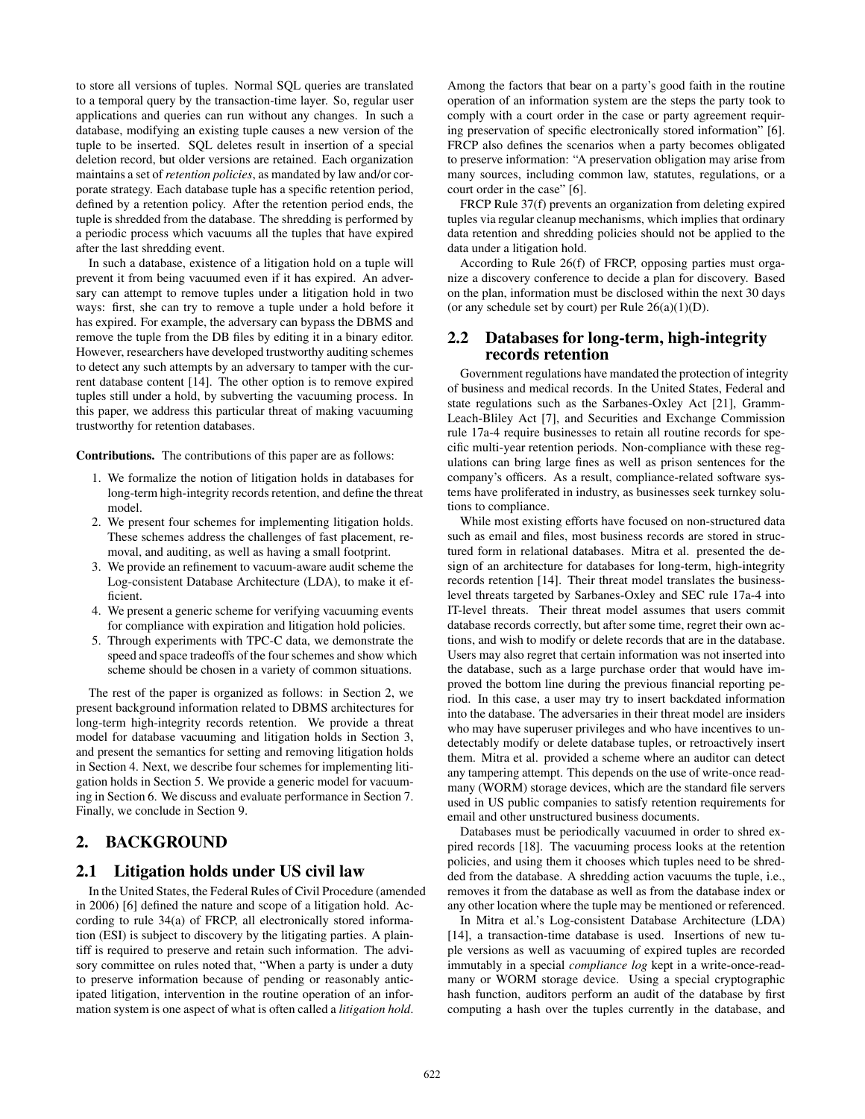to store all versions of tuples. Normal SQL queries are translated to a temporal query by the transaction-time layer. So, regular user applications and queries can run without any changes. In such a database, modifying an existing tuple causes a new version of the tuple to be inserted. SQL deletes result in insertion of a special deletion record, but older versions are retained. Each organization maintains a set of *retention policies*, as mandated by law and/or corporate strategy. Each database tuple has a specific retention period, defined by a retention policy. After the retention period ends, the tuple is shredded from the database. The shredding is performed by a periodic process which vacuums all the tuples that have expired after the last shredding event.

In such a database, existence of a litigation hold on a tuple will prevent it from being vacuumed even if it has expired. An adversary can attempt to remove tuples under a litigation hold in two ways: first, she can try to remove a tuple under a hold before it has expired. For example, the adversary can bypass the DBMS and remove the tuple from the DB files by editing it in a binary editor. However, researchers have developed trustworthy auditing schemes to detect any such attempts by an adversary to tamper with the current database content [14]. The other option is to remove expired tuples still under a hold, by subverting the vacuuming process. In this paper, we address this particular threat of making vacuuming trustworthy for retention databases.

Contributions. The contributions of this paper are as follows:

- 1. We formalize the notion of litigation holds in databases for long-term high-integrity records retention, and define the threat model.
- 2. We present four schemes for implementing litigation holds. These schemes address the challenges of fast placement, removal, and auditing, as well as having a small footprint.
- 3. We provide an refinement to vacuum-aware audit scheme the Log-consistent Database Architecture (LDA), to make it efficient.
- 4. We present a generic scheme for verifying vacuuming events for compliance with expiration and litigation hold policies.
- 5. Through experiments with TPC-C data, we demonstrate the speed and space tradeoffs of the four schemes and show which scheme should be chosen in a variety of common situations.

The rest of the paper is organized as follows: in Section 2, we present background information related to DBMS architectures for long-term high-integrity records retention. We provide a threat model for database vacuuming and litigation holds in Section 3, and present the semantics for setting and removing litigation holds in Section 4. Next, we describe four schemes for implementing litigation holds in Section 5. We provide a generic model for vacuuming in Section 6. We discuss and evaluate performance in Section 7. Finally, we conclude in Section 9.

# 2. BACKGROUND

## 2.1 Litigation holds under US civil law

In the United States, the Federal Rules of Civil Procedure (amended in 2006) [6] defined the nature and scope of a litigation hold. According to rule 34(a) of FRCP, all electronically stored information (ESI) is subject to discovery by the litigating parties. A plaintiff is required to preserve and retain such information. The advisory committee on rules noted that, "When a party is under a duty to preserve information because of pending or reasonably anticipated litigation, intervention in the routine operation of an information system is one aspect of what is often called a *litigation hold*.

Among the factors that bear on a party's good faith in the routine operation of an information system are the steps the party took to comply with a court order in the case or party agreement requiring preservation of specific electronically stored information" [6]. FRCP also defines the scenarios when a party becomes obligated to preserve information: "A preservation obligation may arise from many sources, including common law, statutes, regulations, or a court order in the case" [6].

FRCP Rule 37(f) prevents an organization from deleting expired tuples via regular cleanup mechanisms, which implies that ordinary data retention and shredding policies should not be applied to the data under a litigation hold.

According to Rule 26(f) of FRCP, opposing parties must organize a discovery conference to decide a plan for discovery. Based on the plan, information must be disclosed within the next 30 days (or any schedule set by court) per Rule  $26(a)(1)(D)$ .

## 2.2 Databases for long-term, high-integrity records retention

Government regulations have mandated the protection of integrity of business and medical records. In the United States, Federal and state regulations such as the Sarbanes-Oxley Act [21], Gramm-Leach-Bliley Act [7], and Securities and Exchange Commission rule 17a-4 require businesses to retain all routine records for specific multi-year retention periods. Non-compliance with these regulations can bring large fines as well as prison sentences for the company's officers. As a result, compliance-related software systems have proliferated in industry, as businesses seek turnkey solutions to compliance.

While most existing efforts have focused on non-structured data such as email and files, most business records are stored in structured form in relational databases. Mitra et al. presented the design of an architecture for databases for long-term, high-integrity records retention [14]. Their threat model translates the businesslevel threats targeted by Sarbanes-Oxley and SEC rule 17a-4 into IT-level threats. Their threat model assumes that users commit database records correctly, but after some time, regret their own actions, and wish to modify or delete records that are in the database. Users may also regret that certain information was not inserted into the database, such as a large purchase order that would have improved the bottom line during the previous financial reporting period. In this case, a user may try to insert backdated information into the database. The adversaries in their threat model are insiders who may have superuser privileges and who have incentives to undetectably modify or delete database tuples, or retroactively insert them. Mitra et al. provided a scheme where an auditor can detect any tampering attempt. This depends on the use of write-once readmany (WORM) storage devices, which are the standard file servers used in US public companies to satisfy retention requirements for email and other unstructured business documents.

Databases must be periodically vacuumed in order to shred expired records [18]. The vacuuming process looks at the retention policies, and using them it chooses which tuples need to be shredded from the database. A shredding action vacuums the tuple, i.e., removes it from the database as well as from the database index or any other location where the tuple may be mentioned or referenced.

In Mitra et al.'s Log-consistent Database Architecture (LDA) [14], a transaction-time database is used. Insertions of new tuple versions as well as vacuuming of expired tuples are recorded immutably in a special *compliance log* kept in a write-once-readmany or WORM storage device. Using a special cryptographic hash function, auditors perform an audit of the database by first computing a hash over the tuples currently in the database, and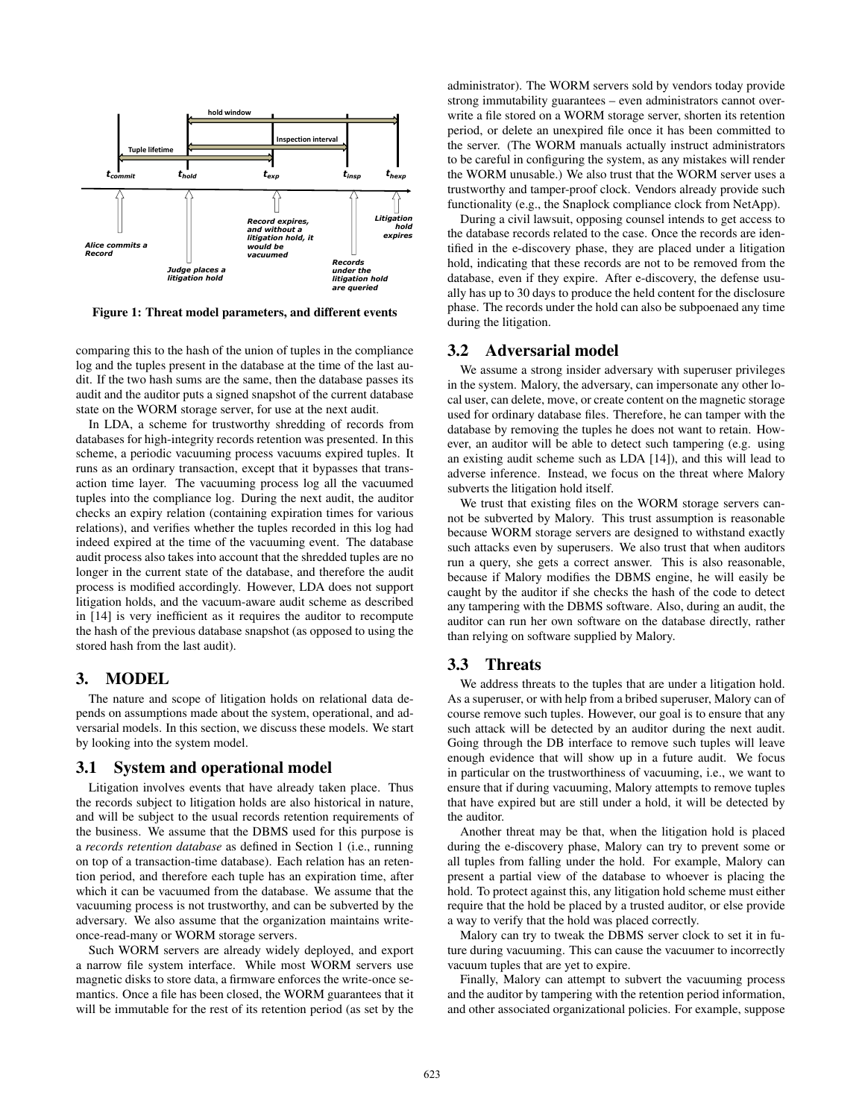

Figure 1: Threat model parameters, and different events

comparing this to the hash of the union of tuples in the compliance log and the tuples present in the database at the time of the last audit. If the two hash sums are the same, then the database passes its audit and the auditor puts a signed snapshot of the current database state on the WORM storage server, for use at the next audit.

In LDA, a scheme for trustworthy shredding of records from databases for high-integrity records retention was presented. In this scheme, a periodic vacuuming process vacuums expired tuples. It runs as an ordinary transaction, except that it bypasses that transaction time layer. The vacuuming process log all the vacuumed tuples into the compliance log. During the next audit, the auditor checks an expiry relation (containing expiration times for various relations), and verifies whether the tuples recorded in this log had indeed expired at the time of the vacuuming event. The database audit process also takes into account that the shredded tuples are no longer in the current state of the database, and therefore the audit process is modified accordingly. However, LDA does not support litigation holds, and the vacuum-aware audit scheme as described in [14] is very inefficient as it requires the auditor to recompute the hash of the previous database snapshot (as opposed to using the stored hash from the last audit).

# 3. MODEL

The nature and scope of litigation holds on relational data depends on assumptions made about the system, operational, and adversarial models. In this section, we discuss these models. We start by looking into the system model.

## 3.1 System and operational model

Litigation involves events that have already taken place. Thus the records subject to litigation holds are also historical in nature, and will be subject to the usual records retention requirements of the business. We assume that the DBMS used for this purpose is a *records retention database* as defined in Section 1 (i.e., running on top of a transaction-time database). Each relation has an retention period, and therefore each tuple has an expiration time, after which it can be vacuumed from the database. We assume that the vacuuming process is not trustworthy, and can be subverted by the adversary. We also assume that the organization maintains writeonce-read-many or WORM storage servers.

Such WORM servers are already widely deployed, and export a narrow file system interface. While most WORM servers use magnetic disks to store data, a firmware enforces the write-once semantics. Once a file has been closed, the WORM guarantees that it will be immutable for the rest of its retention period (as set by the

administrator). The WORM servers sold by vendors today provide strong immutability guarantees – even administrators cannot overwrite a file stored on a WORM storage server, shorten its retention period, or delete an unexpired file once it has been committed to the server. (The WORM manuals actually instruct administrators to be careful in configuring the system, as any mistakes will render the WORM unusable.) We also trust that the WORM server uses a trustworthy and tamper-proof clock. Vendors already provide such functionality (e.g., the Snaplock compliance clock from NetApp).

During a civil lawsuit, opposing counsel intends to get access to the database records related to the case. Once the records are identified in the e-discovery phase, they are placed under a litigation hold, indicating that these records are not to be removed from the database, even if they expire. After e-discovery, the defense usually has up to 30 days to produce the held content for the disclosure phase. The records under the hold can also be subpoenaed any time during the litigation.

## 3.2 Adversarial model

We assume a strong insider adversary with superuser privileges in the system. Malory, the adversary, can impersonate any other local user, can delete, move, or create content on the magnetic storage used for ordinary database files. Therefore, he can tamper with the database by removing the tuples he does not want to retain. However, an auditor will be able to detect such tampering (e.g. using an existing audit scheme such as LDA [14]), and this will lead to adverse inference. Instead, we focus on the threat where Malory subverts the litigation hold itself.

We trust that existing files on the WORM storage servers cannot be subverted by Malory. This trust assumption is reasonable because WORM storage servers are designed to withstand exactly such attacks even by superusers. We also trust that when auditors run a query, she gets a correct answer. This is also reasonable, because if Malory modifies the DBMS engine, he will easily be caught by the auditor if she checks the hash of the code to detect any tampering with the DBMS software. Also, during an audit, the auditor can run her own software on the database directly, rather than relying on software supplied by Malory.

## 3.3 Threats

We address threats to the tuples that are under a litigation hold. As a superuser, or with help from a bribed superuser, Malory can of course remove such tuples. However, our goal is to ensure that any such attack will be detected by an auditor during the next audit. Going through the DB interface to remove such tuples will leave enough evidence that will show up in a future audit. We focus in particular on the trustworthiness of vacuuming, i.e., we want to ensure that if during vacuuming, Malory attempts to remove tuples that have expired but are still under a hold, it will be detected by the auditor.

Another threat may be that, when the litigation hold is placed during the e-discovery phase, Malory can try to prevent some or all tuples from falling under the hold. For example, Malory can present a partial view of the database to whoever is placing the hold. To protect against this, any litigation hold scheme must either require that the hold be placed by a trusted auditor, or else provide a way to verify that the hold was placed correctly.

Malory can try to tweak the DBMS server clock to set it in future during vacuuming. This can cause the vacuumer to incorrectly vacuum tuples that are yet to expire.

Finally, Malory can attempt to subvert the vacuuming process and the auditor by tampering with the retention period information, and other associated organizational policies. For example, suppose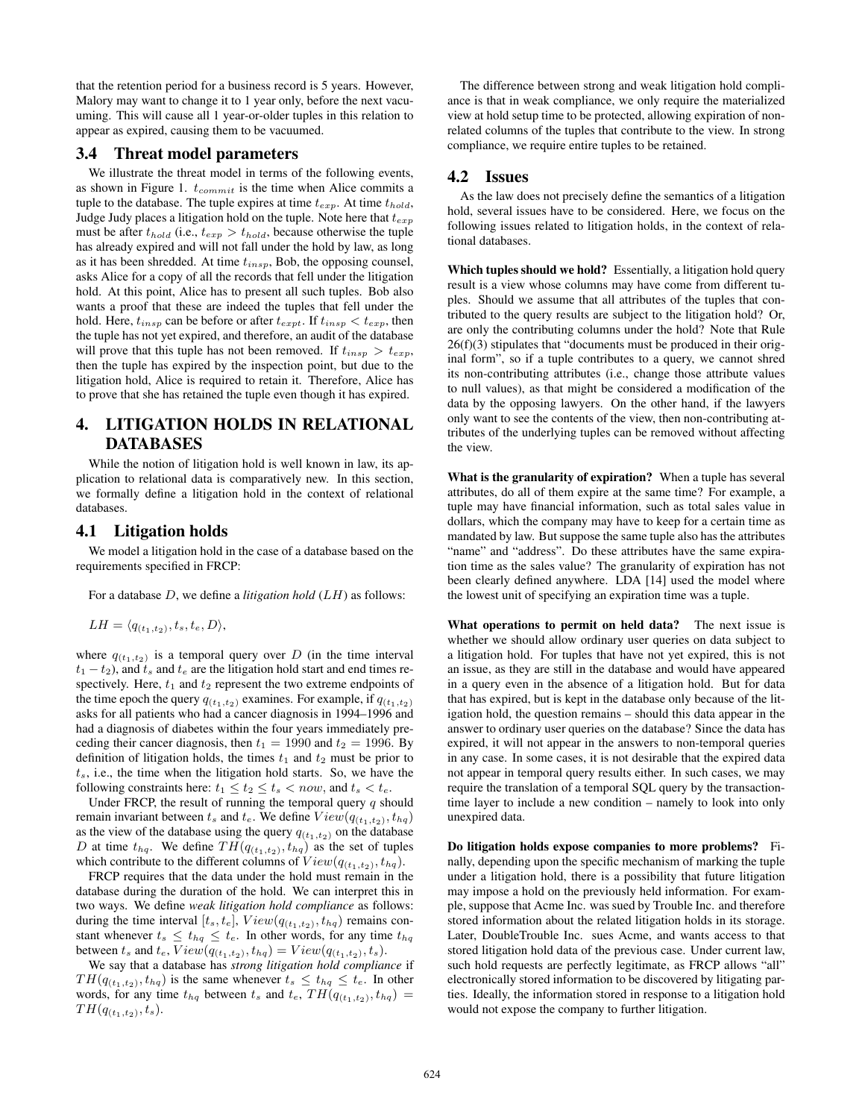that the retention period for a business record is 5 years. However, Malory may want to change it to 1 year only, before the next vacuuming. This will cause all 1 year-or-older tuples in this relation to appear as expired, causing them to be vacuumed.

## 3.4 Threat model parameters

We illustrate the threat model in terms of the following events, as shown in Figure 1.  $t_{commit}$  is the time when Alice commits a tuple to the database. The tuple expires at time  $t_{exp}$ . At time  $t_{hold}$ , Judge Judy places a litigation hold on the tuple. Note here that  $t_{exp}$ must be after  $t_{hold}$  (i.e.,  $t_{exp} > t_{hold}$ , because otherwise the tuple has already expired and will not fall under the hold by law, as long as it has been shredded. At time  $t_{insp}$ , Bob, the opposing counsel, asks Alice for a copy of all the records that fell under the litigation hold. At this point, Alice has to present all such tuples. Bob also wants a proof that these are indeed the tuples that fell under the hold. Here,  $t_{insp}$  can be before or after  $t_{expt}$ . If  $t_{insp} < t_{exp}$ , then the tuple has not yet expired, and therefore, an audit of the database will prove that this tuple has not been removed. If  $t_{insp} > t_{exp}$ , then the tuple has expired by the inspection point, but due to the litigation hold, Alice is required to retain it. Therefore, Alice has to prove that she has retained the tuple even though it has expired.

# 4. LITIGATION HOLDS IN RELATIONAL DATABASES

While the notion of litigation hold is well known in law, its application to relational data is comparatively new. In this section, we formally define a litigation hold in the context of relational databases.

#### 4.1 Litigation holds

We model a litigation hold in the case of a database based on the requirements specified in FRCP:

For a database D, we define a *litigation hold* (LH) as follows:

$$
LH = \langle q_{(t_1,t_2)}, t_s, t_e, D \rangle,
$$

where  $q(t_1,t_2)$  is a temporal query over D (in the time interval  $t_1 - t_2$ ), and  $t_s$  and  $t_e$  are the litigation hold start and end times respectively. Here,  $t_1$  and  $t_2$  represent the two extreme endpoints of the time epoch the query  $q_{(t_1,t_2)}$  examines. For example, if  $q_{(t_1,t_2)}$ asks for all patients who had a cancer diagnosis in 1994–1996 and had a diagnosis of diabetes within the four years immediately preceding their cancer diagnosis, then  $t_1 = 1990$  and  $t_2 = 1996$ . By definition of litigation holds, the times  $t_1$  and  $t_2$  must be prior to  $t<sub>s</sub>$ , i.e., the time when the litigation hold starts. So, we have the following constraints here:  $t_1 \le t_2 \le t_s < now$ , and  $t_s < t_e$ .

Under FRCP, the result of running the temporal query  $q$  should remain invariant between  $t_s$  and  $t_e$ . We define  $View(q_{(t_1,t_2)}, t_{hq})$ as the view of the database using the query  $q_{(t_1,t_2)}$  on the database D at time  $t_{hq}$ . We define  $TH(q_{(t_1,t_2)}, t_{hq})$  as the set of tuples which contribute to the different columns of  $View(q_{(t_1,t_2)}, t_{hq})$ .

FRCP requires that the data under the hold must remain in the database during the duration of the hold. We can interpret this in two ways. We define *weak litigation hold compliance* as follows: during the time interval  $[t_s, t_e]$ ,  $View(q_{(t_1, t_2)}, t_{hq})$  remains constant whenever  $t_s \leq t_{hq} \leq t_e$ . In other words, for any time  $t_{hq}$ between  $t_s$  and  $t_e$ ,  $View(q_{(t_1,t_2)}, t_{hq}) = View(q_{(t_1,t_2)}, t_s)$ .

We say that a database has *strong litigation hold compliance* if  $TH(q_{(t_1,t_2)}, t_{hq})$  is the same whenever  $t_s \leq t_{hq} \leq t_e$ . In other words, for any time  $t_{hq}$  between  $t_s$  and  $t_e$ ,  $TH(q_{(t_1,t_2)}, t_{hq})$  =  $TH(q_{(t_1,t_2)}, t_s).$ 

The difference between strong and weak litigation hold compliance is that in weak compliance, we only require the materialized view at hold setup time to be protected, allowing expiration of nonrelated columns of the tuples that contribute to the view. In strong compliance, we require entire tuples to be retained.

## 4.2 Issues

As the law does not precisely define the semantics of a litigation hold, several issues have to be considered. Here, we focus on the following issues related to litigation holds, in the context of relational databases.

Which tuples should we hold? Essentially, a litigation hold query result is a view whose columns may have come from different tuples. Should we assume that all attributes of the tuples that contributed to the query results are subject to the litigation hold? Or, are only the contributing columns under the hold? Note that Rule 26(f)(3) stipulates that "documents must be produced in their original form", so if a tuple contributes to a query, we cannot shred its non-contributing attributes (i.e., change those attribute values to null values), as that might be considered a modification of the data by the opposing lawyers. On the other hand, if the lawyers only want to see the contents of the view, then non-contributing attributes of the underlying tuples can be removed without affecting the view.

What is the granularity of expiration? When a tuple has several attributes, do all of them expire at the same time? For example, a tuple may have financial information, such as total sales value in dollars, which the company may have to keep for a certain time as mandated by law. But suppose the same tuple also has the attributes "name" and "address". Do these attributes have the same expiration time as the sales value? The granularity of expiration has not been clearly defined anywhere. LDA [14] used the model where the lowest unit of specifying an expiration time was a tuple.

What operations to permit on held data? The next issue is whether we should allow ordinary user queries on data subject to a litigation hold. For tuples that have not yet expired, this is not an issue, as they are still in the database and would have appeared in a query even in the absence of a litigation hold. But for data that has expired, but is kept in the database only because of the litigation hold, the question remains – should this data appear in the answer to ordinary user queries on the database? Since the data has expired, it will not appear in the answers to non-temporal queries in any case. In some cases, it is not desirable that the expired data not appear in temporal query results either. In such cases, we may require the translation of a temporal SQL query by the transactiontime layer to include a new condition – namely to look into only unexpired data.

Do litigation holds expose companies to more problems? Finally, depending upon the specific mechanism of marking the tuple under a litigation hold, there is a possibility that future litigation may impose a hold on the previously held information. For example, suppose that Acme Inc. was sued by Trouble Inc. and therefore stored information about the related litigation holds in its storage. Later, DoubleTrouble Inc. sues Acme, and wants access to that stored litigation hold data of the previous case. Under current law, such hold requests are perfectly legitimate, as FRCP allows "all" electronically stored information to be discovered by litigating parties. Ideally, the information stored in response to a litigation hold would not expose the company to further litigation.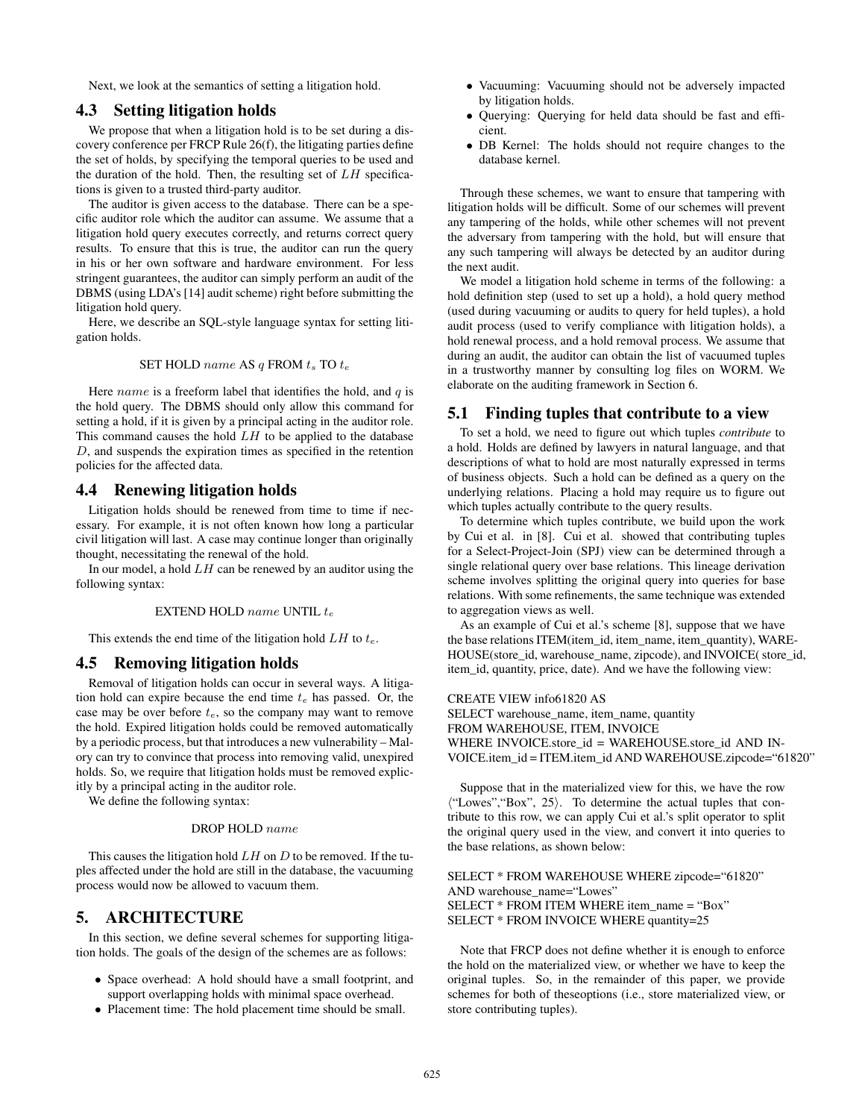Next, we look at the semantics of setting a litigation hold.

## 4.3 Setting litigation holds

We propose that when a litigation hold is to be set during a discovery conference per FRCP Rule 26(f), the litigating parties define the set of holds, by specifying the temporal queries to be used and the duration of the hold. Then, the resulting set of  $LH$  specifications is given to a trusted third-party auditor.

The auditor is given access to the database. There can be a specific auditor role which the auditor can assume. We assume that a litigation hold query executes correctly, and returns correct query results. To ensure that this is true, the auditor can run the query in his or her own software and hardware environment. For less stringent guarantees, the auditor can simply perform an audit of the DBMS (using LDA's [14] audit scheme) right before submitting the litigation hold query.

Here, we describe an SQL-style language syntax for setting litigation holds.

#### SET HOLD name AS  $q$  FROM  $t_s$  TO  $t_e$

Here name is a freeform label that identifies the hold, and  $q$  is the hold query. The DBMS should only allow this command for setting a hold, if it is given by a principal acting in the auditor role. This command causes the hold  $LH$  to be applied to the database D, and suspends the expiration times as specified in the retention policies for the affected data.

## 4.4 Renewing litigation holds

Litigation holds should be renewed from time to time if necessary. For example, it is not often known how long a particular civil litigation will last. A case may continue longer than originally thought, necessitating the renewal of the hold.

In our model, a hold  $LH$  can be renewed by an auditor using the following syntax:

#### EXTEND HOLD name UNTIL  $t_e$

This extends the end time of the litigation hold  $LH$  to  $t_e$ .

## 4.5 Removing litigation holds

Removal of litigation holds can occur in several ways. A litigation hold can expire because the end time  $t_e$  has passed. Or, the case may be over before  $t_e$ , so the company may want to remove the hold. Expired litigation holds could be removed automatically by a periodic process, but that introduces a new vulnerability – Malory can try to convince that process into removing valid, unexpired holds. So, we require that litigation holds must be removed explicitly by a principal acting in the auditor role.

We define the following syntax:

#### DROP HOLD name

This causes the litigation hold  $LH$  on  $D$  to be removed. If the tuples affected under the hold are still in the database, the vacuuming process would now be allowed to vacuum them.

# 5. ARCHITECTURE

In this section, we define several schemes for supporting litigation holds. The goals of the design of the schemes are as follows:

- Space overhead: A hold should have a small footprint, and support overlapping holds with minimal space overhead.
- Placement time: The hold placement time should be small.
- Vacuuming: Vacuuming should not be adversely impacted by litigation holds.
- Querying: Querying for held data should be fast and efficient.
- DB Kernel: The holds should not require changes to the database kernel.

Through these schemes, we want to ensure that tampering with litigation holds will be difficult. Some of our schemes will prevent any tampering of the holds, while other schemes will not prevent the adversary from tampering with the hold, but will ensure that any such tampering will always be detected by an auditor during the next audit.

We model a litigation hold scheme in terms of the following: a hold definition step (used to set up a hold), a hold query method (used during vacuuming or audits to query for held tuples), a hold audit process (used to verify compliance with litigation holds), a hold renewal process, and a hold removal process. We assume that during an audit, the auditor can obtain the list of vacuumed tuples in a trustworthy manner by consulting log files on WORM. We elaborate on the auditing framework in Section 6.

## 5.1 Finding tuples that contribute to a view

To set a hold, we need to figure out which tuples *contribute* to a hold. Holds are defined by lawyers in natural language, and that descriptions of what to hold are most naturally expressed in terms of business objects. Such a hold can be defined as a query on the underlying relations. Placing a hold may require us to figure out which tuples actually contribute to the query results.

To determine which tuples contribute, we build upon the work by Cui et al. in [8]. Cui et al. showed that contributing tuples for a Select-Project-Join (SPJ) view can be determined through a single relational query over base relations. This lineage derivation scheme involves splitting the original query into queries for base relations. With some refinements, the same technique was extended to aggregation views as well.

As an example of Cui et al.'s scheme [8], suppose that we have the base relations ITEM(item\_id, item\_name, item\_quantity), WARE-HOUSE(store\_id, warehouse\_name, zipcode), and INVOICE( store\_id, item\_id, quantity, price, date). And we have the following view:

CREATE VIEW info61820 AS

SELECT warehouse name, item name, quantity FROM WAREHOUSE, ITEM, INVOICE WHERE INVOICE.store id = WAREHOUSE.store id AND IN-VOICE.item\_id = ITEM.item\_id AND WAREHOUSE.zipcode="61820"

Suppose that in the materialized view for this, we have the row  $\langle$ "Lowes", "Box", 25). To determine the actual tuples that contribute to this row, we can apply Cui et al.'s split operator to split the original query used in the view, and convert it into queries to the base relations, as shown below:

SELECT \* FROM WAREHOUSE WHERE zipcode="61820" AND warehouse\_name="Lowes" SELECT \* FROM ITEM WHERE item\_name = "Box" SELECT \* FROM INVOICE WHERE quantity=25

Note that FRCP does not define whether it is enough to enforce the hold on the materialized view, or whether we have to keep the original tuples. So, in the remainder of this paper, we provide schemes for both of theseoptions (i.e., store materialized view, or store contributing tuples).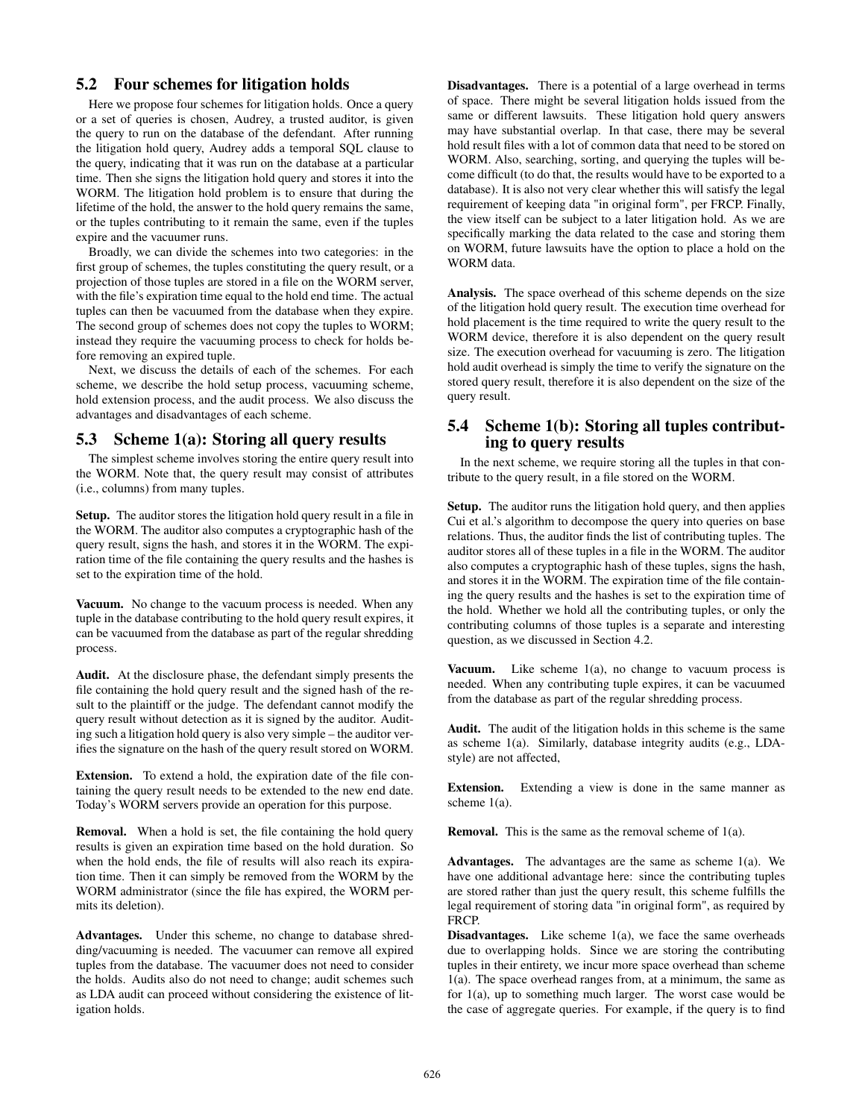# 5.2 Four schemes for litigation holds

Here we propose four schemes for litigation holds. Once a query or a set of queries is chosen, Audrey, a trusted auditor, is given the query to run on the database of the defendant. After running the litigation hold query, Audrey adds a temporal SQL clause to the query, indicating that it was run on the database at a particular time. Then she signs the litigation hold query and stores it into the WORM. The litigation hold problem is to ensure that during the lifetime of the hold, the answer to the hold query remains the same, or the tuples contributing to it remain the same, even if the tuples expire and the vacuumer runs.

Broadly, we can divide the schemes into two categories: in the first group of schemes, the tuples constituting the query result, or a projection of those tuples are stored in a file on the WORM server, with the file's expiration time equal to the hold end time. The actual tuples can then be vacuumed from the database when they expire. The second group of schemes does not copy the tuples to WORM; instead they require the vacuuming process to check for holds before removing an expired tuple.

Next, we discuss the details of each of the schemes. For each scheme, we describe the hold setup process, vacuuming scheme, hold extension process, and the audit process. We also discuss the advantages and disadvantages of each scheme.

## 5.3 Scheme 1(a): Storing all query results

The simplest scheme involves storing the entire query result into the WORM. Note that, the query result may consist of attributes (i.e., columns) from many tuples.

Setup. The auditor stores the litigation hold query result in a file in the WORM. The auditor also computes a cryptographic hash of the query result, signs the hash, and stores it in the WORM. The expiration time of the file containing the query results and the hashes is set to the expiration time of the hold.

Vacuum. No change to the vacuum process is needed. When any tuple in the database contributing to the hold query result expires, it can be vacuumed from the database as part of the regular shredding process.

Audit. At the disclosure phase, the defendant simply presents the file containing the hold query result and the signed hash of the result to the plaintiff or the judge. The defendant cannot modify the query result without detection as it is signed by the auditor. Auditing such a litigation hold query is also very simple – the auditor verifies the signature on the hash of the query result stored on WORM.

Extension. To extend a hold, the expiration date of the file containing the query result needs to be extended to the new end date. Today's WORM servers provide an operation for this purpose.

Removal. When a hold is set, the file containing the hold query results is given an expiration time based on the hold duration. So when the hold ends, the file of results will also reach its expiration time. Then it can simply be removed from the WORM by the WORM administrator (since the file has expired, the WORM permits its deletion).

Advantages. Under this scheme, no change to database shredding/vacuuming is needed. The vacuumer can remove all expired tuples from the database. The vacuumer does not need to consider the holds. Audits also do not need to change; audit schemes such as LDA audit can proceed without considering the existence of litigation holds.

Disadvantages. There is a potential of a large overhead in terms of space. There might be several litigation holds issued from the same or different lawsuits. These litigation hold query answers may have substantial overlap. In that case, there may be several hold result files with a lot of common data that need to be stored on WORM. Also, searching, sorting, and querying the tuples will become difficult (to do that, the results would have to be exported to a database). It is also not very clear whether this will satisfy the legal requirement of keeping data "in original form", per FRCP. Finally, the view itself can be subject to a later litigation hold. As we are specifically marking the data related to the case and storing them on WORM, future lawsuits have the option to place a hold on the WORM data.

Analysis. The space overhead of this scheme depends on the size of the litigation hold query result. The execution time overhead for hold placement is the time required to write the query result to the WORM device, therefore it is also dependent on the query result size. The execution overhead for vacuuming is zero. The litigation hold audit overhead is simply the time to verify the signature on the stored query result, therefore it is also dependent on the size of the query result.

# 5.4 Scheme 1(b): Storing all tuples contributing to query results

In the next scheme, we require storing all the tuples in that contribute to the query result, in a file stored on the WORM.

Setup. The auditor runs the litigation hold query, and then applies Cui et al.'s algorithm to decompose the query into queries on base relations. Thus, the auditor finds the list of contributing tuples. The auditor stores all of these tuples in a file in the WORM. The auditor also computes a cryptographic hash of these tuples, signs the hash, and stores it in the WORM. The expiration time of the file containing the query results and the hashes is set to the expiration time of the hold. Whether we hold all the contributing tuples, or only the contributing columns of those tuples is a separate and interesting question, as we discussed in Section 4.2.

Vacuum. Like scheme  $1(a)$ , no change to vacuum process is needed. When any contributing tuple expires, it can be vacuumed from the database as part of the regular shredding process.

Audit. The audit of the litigation holds in this scheme is the same as scheme 1(a). Similarly, database integrity audits (e.g., LDAstyle) are not affected,

Extension. Extending a view is done in the same manner as scheme 1(a).

Removal. This is the same as the removal scheme of 1(a).

Advantages. The advantages are the same as scheme 1(a). We have one additional advantage here: since the contributing tuples are stored rather than just the query result, this scheme fulfills the legal requirement of storing data "in original form", as required by FRCP.

**Disadvantages.** Like scheme  $1(a)$ , we face the same overheads due to overlapping holds. Since we are storing the contributing tuples in their entirety, we incur more space overhead than scheme 1(a). The space overhead ranges from, at a minimum, the same as for 1(a), up to something much larger. The worst case would be the case of aggregate queries. For example, if the query is to find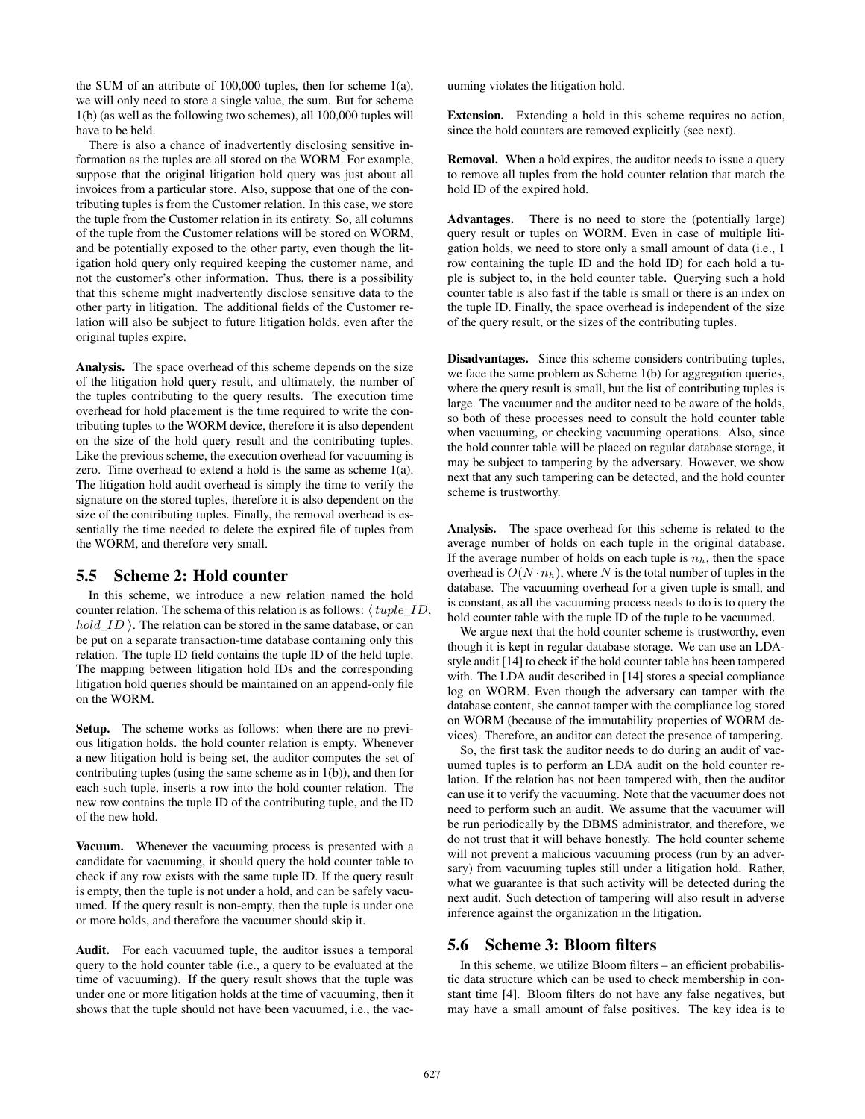the SUM of an attribute of 100,000 tuples, then for scheme 1(a), we will only need to store a single value, the sum. But for scheme 1(b) (as well as the following two schemes), all 100,000 tuples will have to be held.

There is also a chance of inadvertently disclosing sensitive information as the tuples are all stored on the WORM. For example, suppose that the original litigation hold query was just about all invoices from a particular store. Also, suppose that one of the contributing tuples is from the Customer relation. In this case, we store the tuple from the Customer relation in its entirety. So, all columns of the tuple from the Customer relations will be stored on WORM, and be potentially exposed to the other party, even though the litigation hold query only required keeping the customer name, and not the customer's other information. Thus, there is a possibility that this scheme might inadvertently disclose sensitive data to the other party in litigation. The additional fields of the Customer relation will also be subject to future litigation holds, even after the original tuples expire.

Analysis. The space overhead of this scheme depends on the size of the litigation hold query result, and ultimately, the number of the tuples contributing to the query results. The execution time overhead for hold placement is the time required to write the contributing tuples to the WORM device, therefore it is also dependent on the size of the hold query result and the contributing tuples. Like the previous scheme, the execution overhead for vacuuming is zero. Time overhead to extend a hold is the same as scheme 1(a). The litigation hold audit overhead is simply the time to verify the signature on the stored tuples, therefore it is also dependent on the size of the contributing tuples. Finally, the removal overhead is essentially the time needed to delete the expired file of tuples from the WORM, and therefore very small.

## 5.5 Scheme 2: Hold counter

In this scheme, we introduce a new relation named the hold counter relation. The schema of this relation is as follows:  $\langle tuple\_ID,$  $hold\_ID$ ). The relation can be stored in the same database, or can be put on a separate transaction-time database containing only this relation. The tuple ID field contains the tuple ID of the held tuple. The mapping between litigation hold IDs and the corresponding litigation hold queries should be maintained on an append-only file on the WORM.

Setup. The scheme works as follows: when there are no previous litigation holds. the hold counter relation is empty. Whenever a new litigation hold is being set, the auditor computes the set of contributing tuples (using the same scheme as in  $1(b)$ ), and then for each such tuple, inserts a row into the hold counter relation. The new row contains the tuple ID of the contributing tuple, and the ID of the new hold.

Vacuum. Whenever the vacuuming process is presented with a candidate for vacuuming, it should query the hold counter table to check if any row exists with the same tuple ID. If the query result is empty, then the tuple is not under a hold, and can be safely vacuumed. If the query result is non-empty, then the tuple is under one or more holds, and therefore the vacuumer should skip it.

Audit. For each vacuumed tuple, the auditor issues a temporal query to the hold counter table (i.e., a query to be evaluated at the time of vacuuming). If the query result shows that the tuple was under one or more litigation holds at the time of vacuuming, then it shows that the tuple should not have been vacuumed, i.e., the vacuuming violates the litigation hold.

Extension. Extending a hold in this scheme requires no action, since the hold counters are removed explicitly (see next).

Removal. When a hold expires, the auditor needs to issue a query to remove all tuples from the hold counter relation that match the hold ID of the expired hold.

Advantages. There is no need to store the (potentially large) query result or tuples on WORM. Even in case of multiple litigation holds, we need to store only a small amount of data (i.e., 1 row containing the tuple ID and the hold ID) for each hold a tuple is subject to, in the hold counter table. Querying such a hold counter table is also fast if the table is small or there is an index on the tuple ID. Finally, the space overhead is independent of the size of the query result, or the sizes of the contributing tuples.

Disadvantages. Since this scheme considers contributing tuples, we face the same problem as Scheme 1(b) for aggregation queries, where the query result is small, but the list of contributing tuples is large. The vacuumer and the auditor need to be aware of the holds, so both of these processes need to consult the hold counter table when vacuuming, or checking vacuuming operations. Also, since the hold counter table will be placed on regular database storage, it may be subject to tampering by the adversary. However, we show next that any such tampering can be detected, and the hold counter scheme is trustworthy.

Analysis. The space overhead for this scheme is related to the average number of holds on each tuple in the original database. If the average number of holds on each tuple is  $n<sub>h</sub>$ , then the space overhead is  $O(N \cdot n_h)$ , where N is the total number of tuples in the database. The vacuuming overhead for a given tuple is small, and is constant, as all the vacuuming process needs to do is to query the hold counter table with the tuple ID of the tuple to be vacuumed.

We argue next that the hold counter scheme is trustworthy, even though it is kept in regular database storage. We can use an LDAstyle audit [14] to check if the hold counter table has been tampered with. The LDA audit described in [14] stores a special compliance log on WORM. Even though the adversary can tamper with the database content, she cannot tamper with the compliance log stored on WORM (because of the immutability properties of WORM devices). Therefore, an auditor can detect the presence of tampering.

So, the first task the auditor needs to do during an audit of vacuumed tuples is to perform an LDA audit on the hold counter relation. If the relation has not been tampered with, then the auditor can use it to verify the vacuuming. Note that the vacuumer does not need to perform such an audit. We assume that the vacuumer will be run periodically by the DBMS administrator, and therefore, we do not trust that it will behave honestly. The hold counter scheme will not prevent a malicious vacuuming process (run by an adversary) from vacuuming tuples still under a litigation hold. Rather, what we guarantee is that such activity will be detected during the next audit. Such detection of tampering will also result in adverse inference against the organization in the litigation.

## 5.6 Scheme 3: Bloom filters

In this scheme, we utilize Bloom filters – an efficient probabilistic data structure which can be used to check membership in constant time [4]. Bloom filters do not have any false negatives, but may have a small amount of false positives. The key idea is to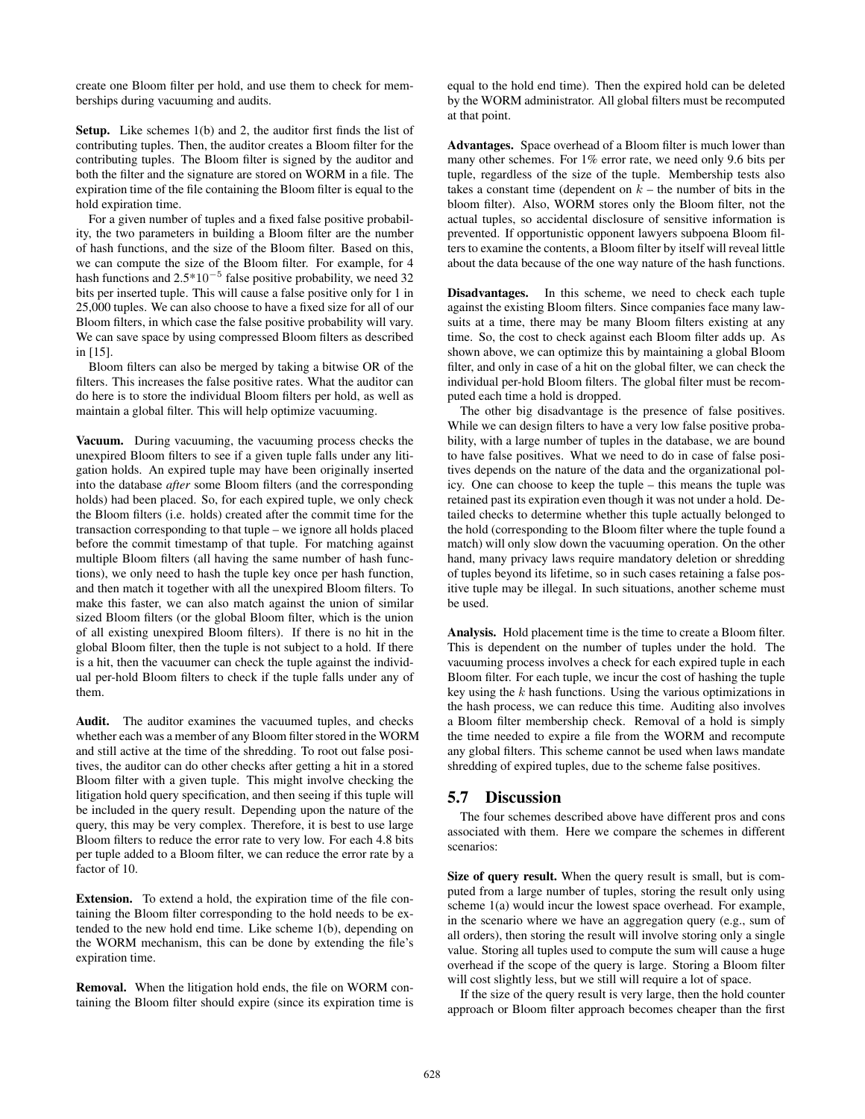create one Bloom filter per hold, and use them to check for memberships during vacuuming and audits.

Setup. Like schemes 1(b) and 2, the auditor first finds the list of contributing tuples. Then, the auditor creates a Bloom filter for the contributing tuples. The Bloom filter is signed by the auditor and both the filter and the signature are stored on WORM in a file. The expiration time of the file containing the Bloom filter is equal to the hold expiration time.

For a given number of tuples and a fixed false positive probability, the two parameters in building a Bloom filter are the number of hash functions, and the size of the Bloom filter. Based on this, we can compute the size of the Bloom filter. For example, for 4 hash functions and  $2.5*10^{-5}$  false positive probability, we need 32 bits per inserted tuple. This will cause a false positive only for 1 in 25,000 tuples. We can also choose to have a fixed size for all of our Bloom filters, in which case the false positive probability will vary. We can save space by using compressed Bloom filters as described in [15].

Bloom filters can also be merged by taking a bitwise OR of the filters. This increases the false positive rates. What the auditor can do here is to store the individual Bloom filters per hold, as well as maintain a global filter. This will help optimize vacuuming.

Vacuum. During vacuuming, the vacuuming process checks the unexpired Bloom filters to see if a given tuple falls under any litigation holds. An expired tuple may have been originally inserted into the database *after* some Bloom filters (and the corresponding holds) had been placed. So, for each expired tuple, we only check the Bloom filters (i.e. holds) created after the commit time for the transaction corresponding to that tuple – we ignore all holds placed before the commit timestamp of that tuple. For matching against multiple Bloom filters (all having the same number of hash functions), we only need to hash the tuple key once per hash function, and then match it together with all the unexpired Bloom filters. To make this faster, we can also match against the union of similar sized Bloom filters (or the global Bloom filter, which is the union of all existing unexpired Bloom filters). If there is no hit in the global Bloom filter, then the tuple is not subject to a hold. If there is a hit, then the vacuumer can check the tuple against the individual per-hold Bloom filters to check if the tuple falls under any of them.

Audit. The auditor examines the vacuumed tuples, and checks whether each was a member of any Bloom filter stored in the WORM and still active at the time of the shredding. To root out false positives, the auditor can do other checks after getting a hit in a stored Bloom filter with a given tuple. This might involve checking the litigation hold query specification, and then seeing if this tuple will be included in the query result. Depending upon the nature of the query, this may be very complex. Therefore, it is best to use large Bloom filters to reduce the error rate to very low. For each 4.8 bits per tuple added to a Bloom filter, we can reduce the error rate by a factor of 10.

Extension. To extend a hold, the expiration time of the file containing the Bloom filter corresponding to the hold needs to be extended to the new hold end time. Like scheme 1(b), depending on the WORM mechanism, this can be done by extending the file's expiration time.

Removal. When the litigation hold ends, the file on WORM containing the Bloom filter should expire (since its expiration time is equal to the hold end time). Then the expired hold can be deleted by the WORM administrator. All global filters must be recomputed at that point.

Advantages. Space overhead of a Bloom filter is much lower than many other schemes. For 1% error rate, we need only 9.6 bits per tuple, regardless of the size of the tuple. Membership tests also takes a constant time (dependent on  $k$  – the number of bits in the bloom filter). Also, WORM stores only the Bloom filter, not the actual tuples, so accidental disclosure of sensitive information is prevented. If opportunistic opponent lawyers subpoena Bloom filters to examine the contents, a Bloom filter by itself will reveal little about the data because of the one way nature of the hash functions.

Disadvantages. In this scheme, we need to check each tuple against the existing Bloom filters. Since companies face many lawsuits at a time, there may be many Bloom filters existing at any time. So, the cost to check against each Bloom filter adds up. As shown above, we can optimize this by maintaining a global Bloom filter, and only in case of a hit on the global filter, we can check the individual per-hold Bloom filters. The global filter must be recomputed each time a hold is dropped.

The other big disadvantage is the presence of false positives. While we can design filters to have a very low false positive probability, with a large number of tuples in the database, we are bound to have false positives. What we need to do in case of false positives depends on the nature of the data and the organizational policy. One can choose to keep the tuple – this means the tuple was retained past its expiration even though it was not under a hold. Detailed checks to determine whether this tuple actually belonged to the hold (corresponding to the Bloom filter where the tuple found a match) will only slow down the vacuuming operation. On the other hand, many privacy laws require mandatory deletion or shredding of tuples beyond its lifetime, so in such cases retaining a false positive tuple may be illegal. In such situations, another scheme must be used.

Analysis. Hold placement time is the time to create a Bloom filter. This is dependent on the number of tuples under the hold. The vacuuming process involves a check for each expired tuple in each Bloom filter. For each tuple, we incur the cost of hashing the tuple key using the  $k$  hash functions. Using the various optimizations in the hash process, we can reduce this time. Auditing also involves a Bloom filter membership check. Removal of a hold is simply the time needed to expire a file from the WORM and recompute any global filters. This scheme cannot be used when laws mandate shredding of expired tuples, due to the scheme false positives.

#### 5.7 Discussion

The four schemes described above have different pros and cons associated with them. Here we compare the schemes in different scenarios:

Size of query result. When the query result is small, but is computed from a large number of tuples, storing the result only using scheme 1(a) would incur the lowest space overhead. For example, in the scenario where we have an aggregation query (e.g., sum of all orders), then storing the result will involve storing only a single value. Storing all tuples used to compute the sum will cause a huge overhead if the scope of the query is large. Storing a Bloom filter will cost slightly less, but we still will require a lot of space.

If the size of the query result is very large, then the hold counter approach or Bloom filter approach becomes cheaper than the first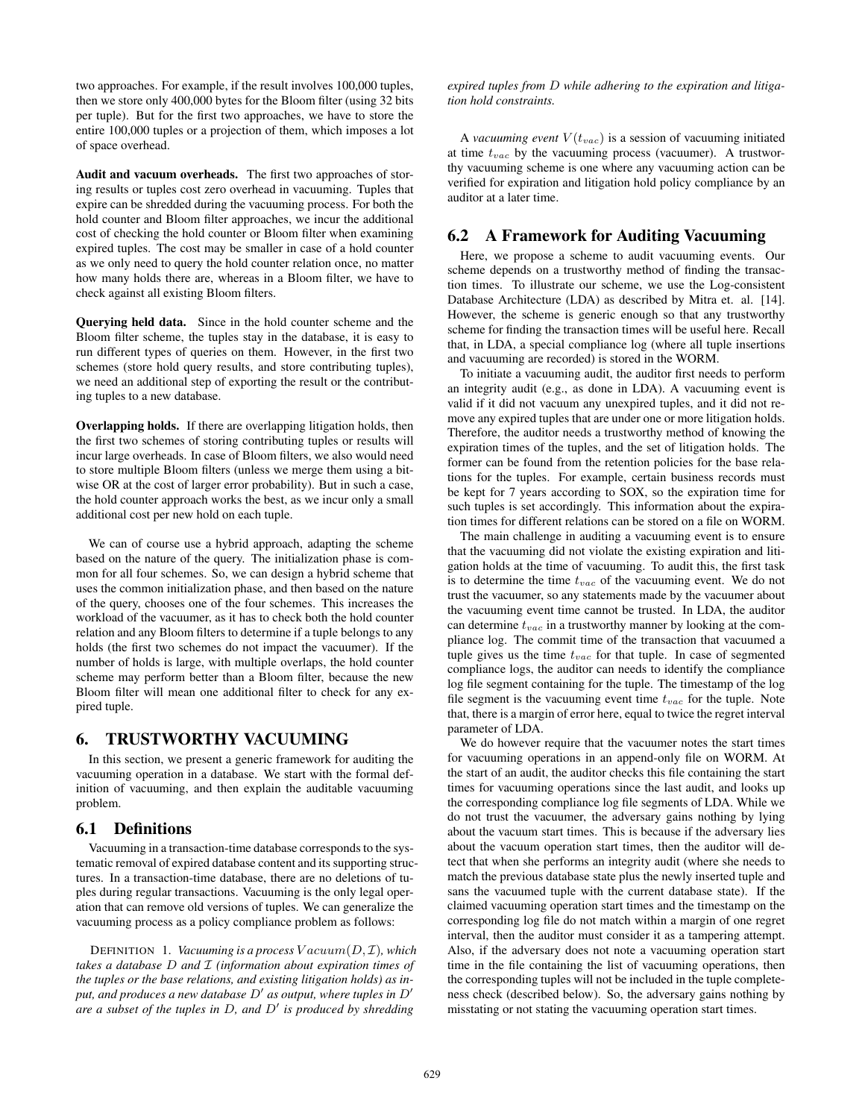two approaches. For example, if the result involves 100,000 tuples, then we store only 400,000 bytes for the Bloom filter (using 32 bits per tuple). But for the first two approaches, we have to store the entire 100,000 tuples or a projection of them, which imposes a lot of space overhead.

Audit and vacuum overheads. The first two approaches of storing results or tuples cost zero overhead in vacuuming. Tuples that expire can be shredded during the vacuuming process. For both the hold counter and Bloom filter approaches, we incur the additional cost of checking the hold counter or Bloom filter when examining expired tuples. The cost may be smaller in case of a hold counter as we only need to query the hold counter relation once, no matter how many holds there are, whereas in a Bloom filter, we have to check against all existing Bloom filters.

Querying held data. Since in the hold counter scheme and the Bloom filter scheme, the tuples stay in the database, it is easy to run different types of queries on them. However, in the first two schemes (store hold query results, and store contributing tuples), we need an additional step of exporting the result or the contributing tuples to a new database.

Overlapping holds. If there are overlapping litigation holds, then the first two schemes of storing contributing tuples or results will incur large overheads. In case of Bloom filters, we also would need to store multiple Bloom filters (unless we merge them using a bitwise OR at the cost of larger error probability). But in such a case, the hold counter approach works the best, as we incur only a small additional cost per new hold on each tuple.

We can of course use a hybrid approach, adapting the scheme based on the nature of the query. The initialization phase is common for all four schemes. So, we can design a hybrid scheme that uses the common initialization phase, and then based on the nature of the query, chooses one of the four schemes. This increases the workload of the vacuumer, as it has to check both the hold counter relation and any Bloom filters to determine if a tuple belongs to any holds (the first two schemes do not impact the vacuumer). If the number of holds is large, with multiple overlaps, the hold counter scheme may perform better than a Bloom filter, because the new Bloom filter will mean one additional filter to check for any expired tuple.

## 6. TRUSTWORTHY VACUUMING

In this section, we present a generic framework for auditing the vacuuming operation in a database. We start with the formal definition of vacuuming, and then explain the auditable vacuuming problem.

## 6.1 Definitions

Vacuuming in a transaction-time database corresponds to the systematic removal of expired database content and its supporting structures. In a transaction-time database, there are no deletions of tuples during regular transactions. Vacuuming is the only legal operation that can remove old versions of tuples. We can generalize the vacuuming process as a policy compliance problem as follows:

DEFINITION 1. *Vacuuming is a process* V acuum(D, I)*, which takes a database* D *and* I *(information about expiration times of the tuples or the base relations, and existing litigation holds) as in*put, and produces a new database  $D'$  as output, where tuples in  $D'$ *are a subset of the tuples in* D*, and* D 0 *is produced by shredding*

*expired tuples from* D *while adhering to the expiration and litigation hold constraints.*

A *vacuuming event*  $V(t_{vac})$  is a session of vacuuming initiated at time  $t_{vac}$  by the vacuuming process (vacuumer). A trustworthy vacuuming scheme is one where any vacuuming action can be verified for expiration and litigation hold policy compliance by an auditor at a later time.

## 6.2 A Framework for Auditing Vacuuming

Here, we propose a scheme to audit vacuuming events. Our scheme depends on a trustworthy method of finding the transaction times. To illustrate our scheme, we use the Log-consistent Database Architecture (LDA) as described by Mitra et. al. [14]. However, the scheme is generic enough so that any trustworthy scheme for finding the transaction times will be useful here. Recall that, in LDA, a special compliance log (where all tuple insertions and vacuuming are recorded) is stored in the WORM.

To initiate a vacuuming audit, the auditor first needs to perform an integrity audit (e.g., as done in LDA). A vacuuming event is valid if it did not vacuum any unexpired tuples, and it did not remove any expired tuples that are under one or more litigation holds. Therefore, the auditor needs a trustworthy method of knowing the expiration times of the tuples, and the set of litigation holds. The former can be found from the retention policies for the base relations for the tuples. For example, certain business records must be kept for 7 years according to SOX, so the expiration time for such tuples is set accordingly. This information about the expiration times for different relations can be stored on a file on WORM.

The main challenge in auditing a vacuuming event is to ensure that the vacuuming did not violate the existing expiration and litigation holds at the time of vacuuming. To audit this, the first task is to determine the time  $t_{vac}$  of the vacuuming event. We do not trust the vacuumer, so any statements made by the vacuumer about the vacuuming event time cannot be trusted. In LDA, the auditor can determine  $t_{vac}$  in a trustworthy manner by looking at the compliance log. The commit time of the transaction that vacuumed a tuple gives us the time  $t_{vac}$  for that tuple. In case of segmented compliance logs, the auditor can needs to identify the compliance log file segment containing for the tuple. The timestamp of the log file segment is the vacuuming event time  $t_{vac}$  for the tuple. Note that, there is a margin of error here, equal to twice the regret interval parameter of LDA.

We do however require that the vacuumer notes the start times for vacuuming operations in an append-only file on WORM. At the start of an audit, the auditor checks this file containing the start times for vacuuming operations since the last audit, and looks up the corresponding compliance log file segments of LDA. While we do not trust the vacuumer, the adversary gains nothing by lying about the vacuum start times. This is because if the adversary lies about the vacuum operation start times, then the auditor will detect that when she performs an integrity audit (where she needs to match the previous database state plus the newly inserted tuple and sans the vacuumed tuple with the current database state). If the claimed vacuuming operation start times and the timestamp on the corresponding log file do not match within a margin of one regret interval, then the auditor must consider it as a tampering attempt. Also, if the adversary does not note a vacuuming operation start time in the file containing the list of vacuuming operations, then the corresponding tuples will not be included in the tuple completeness check (described below). So, the adversary gains nothing by misstating or not stating the vacuuming operation start times.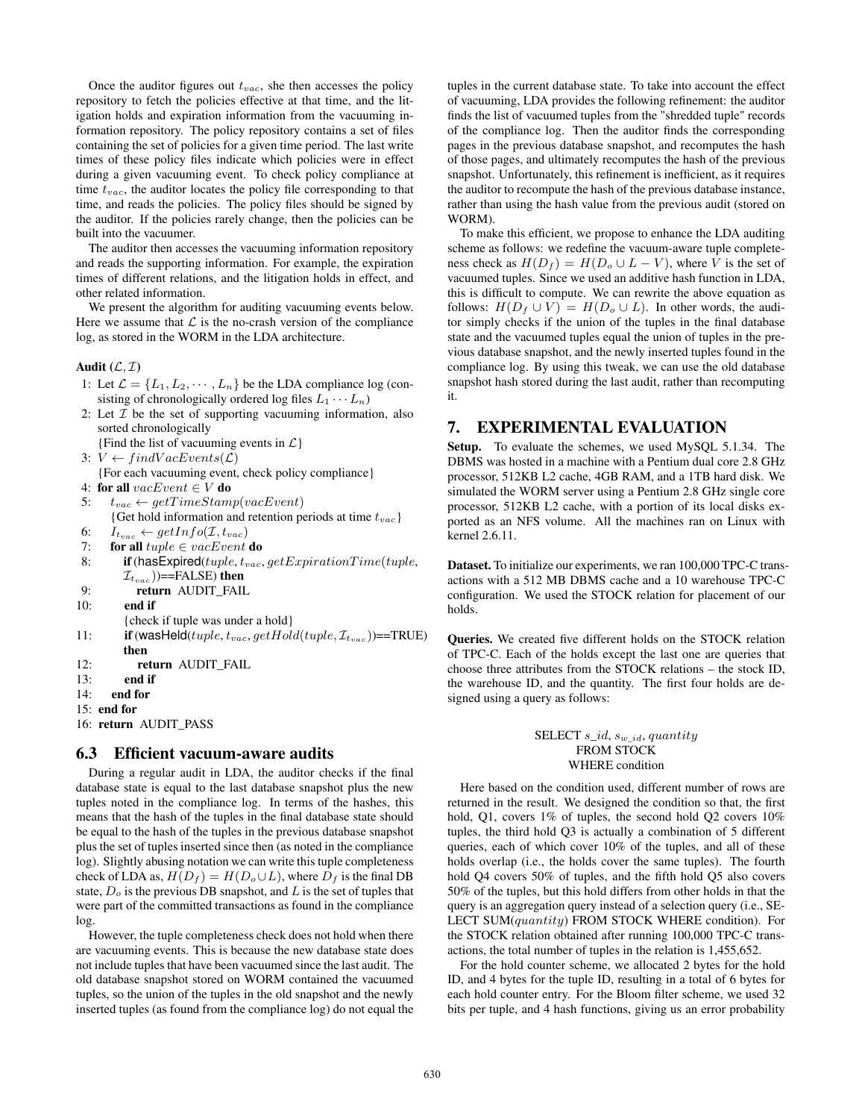Once the auditor figures out  $t_{vac}$ , she then accesses the policy repository to fetch the policies effective at that time, and the litigation holds and expiration information from the vacuuming information repository. The policy repository contains a set of files containing the set of policies for a given time period. The last write times of these policy files indicate which policies were in effect during a given vacuuming event. To check policy compliance at time  $t_{vac}$ , the auditor locates the policy file corresponding to that time, and reads the policies. The policy files should be signed by the auditor. If the policies rarely change, then the policies can be built into the vacuumer.

The auditor then accesses the vacuuming information repository and reads the supporting information. For example, the expiration times of different relations, and the litigation holds in effect, and other related information.

We present the algorithm for auditing vacuuming events below. Here we assume that  $\mathcal L$  is the no-crash version of the compliance log, as stored in the WORM in the LDA architecture.

#### Audit  $(\mathcal{L}, \mathcal{I})$

- 1: Let  $\mathcal{L} = \{L_1, L_2, \cdots, L_n\}$  be the LDA compliance log (consisting of chronologically ordered log files  $L_1 \cdots L_n$ )
- 2: Let  $\mathcal I$  be the set of supporting vacuuming information, also sorted chronologically
- {Find the list of vacuuming events in  $\mathcal{L}$ }
- 3:  $V \leftarrow findVacEvents(\mathcal{L})$
- {For each vacuuming event, check policy compliance}
- 4: for all  $\textit{vacEvent} \in V$  do
- 5:  $t_{vac} \leftarrow getTimeStamp(vacEvent)$

{Get hold information and retention periods at time  $t_{vac}$ } 6:  $I_{t_{vac}} \leftarrow getInfo(\mathcal{I}, t_{vac})$ 

- 7: for all  $tuple \in vacEvent$  do
- 8: if (has Expired(tuple,  $t_{vac}$ ,  $get Exploration Time (tuple,$  $\mathcal{I}_{t_{\text{max}}}$ ))==FALSE) then
- 9: return AUDIT\_FAIL
- 10: end if
- {check if tuple was under a hold}
- 11: if (wasHeld(tuple,  $t_{vac}$ , getHold(tuple,  $\mathcal{I}_{t_{vac}}$ ))==TRUE) then
- 12: return AUDIT FAIL
- 13: end if
- 14: end for
- 15: end for
- 16: return AUDIT\_PASS

## 6.3 Efficient vacuum-aware audits

During a regular audit in LDA, the auditor checks if the final database state is equal to the last database snapshot plus the new tuples noted in the compliance log. In terms of the hashes, this means that the hash of the tuples in the final database state should be equal to the hash of the tuples in the previous database snapshot plus the set of tuples inserted since then (as noted in the compliance log). Slightly abusing notation we can write this tuple completeness check of LDA as,  $H(D_f) = H(D_o \cup L)$ , where  $D_f$  is the final DB state,  $D<sub>o</sub>$  is the previous DB snapshot, and L is the set of tuples that were part of the committed transactions as found in the compliance log.

However, the tuple completeness check does not hold when there are vacuuming events. This is because the new database state does not include tuples that have been vacuumed since the last audit. The old database snapshot stored on WORM contained the vacuumed tuples, so the union of the tuples in the old snapshot and the newly inserted tuples (as found from the compliance log) do not equal the tuples in the current database state. To take into account the effect of vacuuming, LDA provides the following refinement: the auditor finds the list of vacuumed tuples from the "shredded tuple" records of the compliance log. Then the auditor finds the corresponding pages in the previous database snapshot, and recomputes the hash of those pages, and ultimately recomputes the hash of the previous snapshot. Unfortunately, this refinement is inefficient, as it requires the auditor to recompute the hash of the previous database instance, rather than using the hash value from the previous audit (stored on WORM).

To make this efficient, we propose to enhance the LDA auditing scheme as follows: we redefine the vacuum-aware tuple completeness check as  $H(D_f) = H(D_o \cup L - V)$ , where V is the set of vacuumed tuples. Since we used an additive hash function in LDA, this is difficult to compute. We can rewrite the above equation as follows:  $H(D_f \cup V) = H(D_o \cup L)$ . In other words, the auditor simply checks if the union of the tuples in the final database state and the vacuumed tuples equal the union of tuples in the previous database snapshot, and the newly inserted tuples found in the compliance log. By using this tweak, we can use the old database snapshot hash stored during the last audit, rather than recomputing it.

## 7. EXPERIMENTAL EVALUATION

Setup. To evaluate the schemes, we used MySQL 5.1.34. The DBMS was hosted in a machine with a Pentium dual core 2.8 GHz processor, 512KB L2 cache, 4GB RAM, and a 1TB hard disk. We simulated the WORM server using a Pentium 2.8 GHz single core processor, 512KB L2 cache, with a portion of its local disks exported as an NFS volume. All the machines ran on Linux with kernel 2.6.11.

Dataset. To initialize our experiments, we ran 100,000 TPC-C transactions with a 512 MB DBMS cache and a 10 warehouse TPC-C configuration. We used the STOCK relation for placement of our holds.

Queries. We created five different holds on the STOCK relation of TPC-C. Each of the holds except the last one are queries that choose three attributes from the STOCK relations – the stock ID, the warehouse ID, and the quantity. The first four holds are designed using a query as follows:

#### SELECT  $s_id$ ,  $s_{w_id}$ , quantity FROM STOCK WHERE condition

Here based on the condition used, different number of rows are returned in the result. We designed the condition so that, the first hold, Q1, covers 1% of tuples, the second hold Q2 covers 10% tuples, the third hold Q3 is actually a combination of 5 different queries, each of which cover 10% of the tuples, and all of these holds overlap (i.e., the holds cover the same tuples). The fourth hold Q4 covers 50% of tuples, and the fifth hold Q5 also covers 50% of the tuples, but this hold differs from other holds in that the query is an aggregation query instead of a selection query (i.e., SE-LECT SUM(quantity) FROM STOCK WHERE condition). For the STOCK relation obtained after running 100,000 TPC-C transactions, the total number of tuples in the relation is 1,455,652.

For the hold counter scheme, we allocated 2 bytes for the hold ID, and 4 bytes for the tuple ID, resulting in a total of 6 bytes for each hold counter entry. For the Bloom filter scheme, we used 32 bits per tuple, and 4 hash functions, giving us an error probability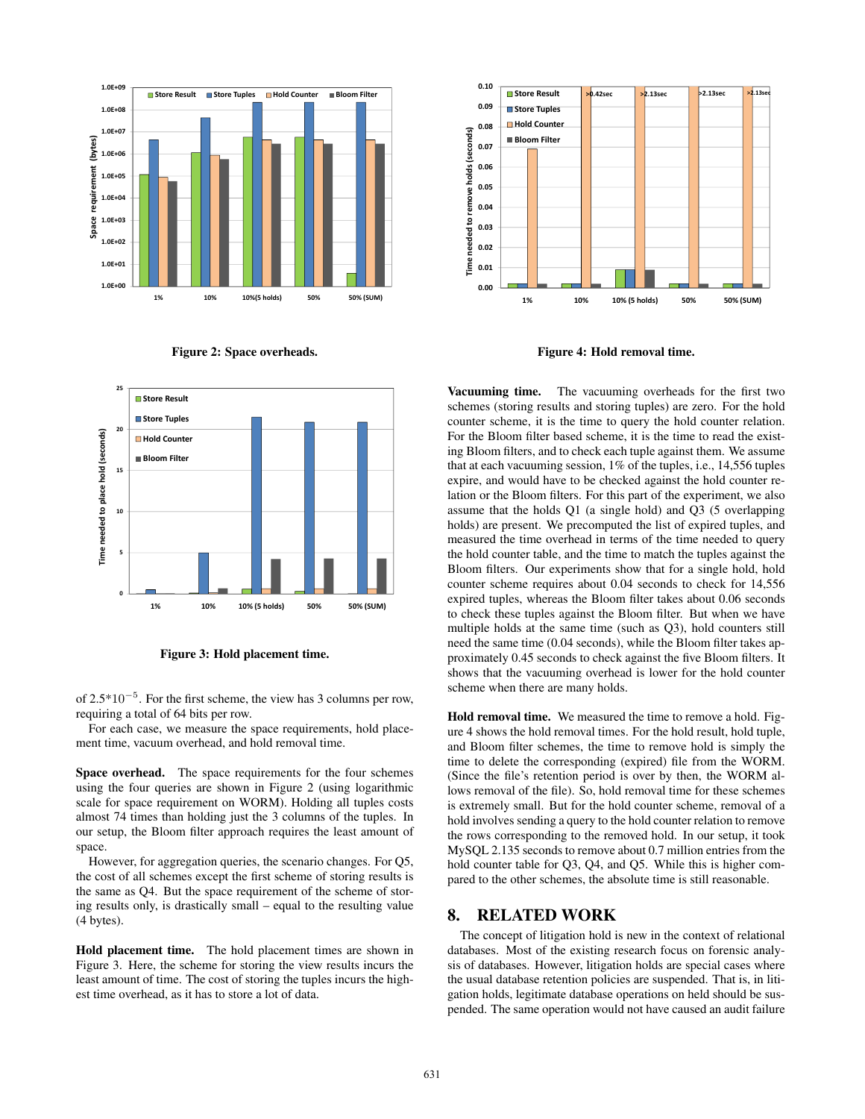





Figure 3: Hold placement time.

of  $2.5*10^{-5}$ . For the first scheme, the view has 3 columns per row, requiring a total of 64 bits per row.

For each case, we measure the space requirements, hold placement time, vacuum overhead, and hold removal time.

Space overhead. The space requirements for the four schemes using the four queries are shown in Figure 2 (using logarithmic scale for space requirement on WORM). Holding all tuples costs almost 74 times than holding just the 3 columns of the tuples. In our setup, the Bloom filter approach requires the least amount of space.

However, for aggregation queries, the scenario changes. For Q5, the cost of all schemes except the first scheme of storing results is the same as Q4. But the space requirement of the scheme of storing results only, is drastically small – equal to the resulting value (4 bytes).

Hold placement time. The hold placement times are shown in Figure 3. Here, the scheme for storing the view results incurs the least amount of time. The cost of storing the tuples incurs the highest time overhead, as it has to store a lot of data.



Figure 4: Hold removal time.

Vacuuming time. The vacuuming overheads for the first two schemes (storing results and storing tuples) are zero. For the hold counter scheme, it is the time to query the hold counter relation. For the Bloom filter based scheme, it is the time to read the existing Bloom filters, and to check each tuple against them. We assume that at each vacuuming session, 1% of the tuples, i.e., 14,556 tuples expire, and would have to be checked against the hold counter relation or the Bloom filters. For this part of the experiment, we also assume that the holds Q1 (a single hold) and Q3 (5 overlapping holds) are present. We precomputed the list of expired tuples, and measured the time overhead in terms of the time needed to query the hold counter table, and the time to match the tuples against the Bloom filters. Our experiments show that for a single hold, hold counter scheme requires about 0.04 seconds to check for 14,556 expired tuples, whereas the Bloom filter takes about 0.06 seconds to check these tuples against the Bloom filter. But when we have multiple holds at the same time (such as Q3), hold counters still need the same time (0.04 seconds), while the Bloom filter takes approximately 0.45 seconds to check against the five Bloom filters. It shows that the vacuuming overhead is lower for the hold counter scheme when there are many holds.

Hold removal time. We measured the time to remove a hold. Figure 4 shows the hold removal times. For the hold result, hold tuple, and Bloom filter schemes, the time to remove hold is simply the time to delete the corresponding (expired) file from the WORM. (Since the file's retention period is over by then, the WORM allows removal of the file). So, hold removal time for these schemes is extremely small. But for the hold counter scheme, removal of a hold involves sending a query to the hold counter relation to remove the rows corresponding to the removed hold. In our setup, it took MySQL 2.135 seconds to remove about 0.7 million entries from the hold counter table for Q3, Q4, and Q5. While this is higher compared to the other schemes, the absolute time is still reasonable.

## 8. RELATED WORK

The concept of litigation hold is new in the context of relational databases. Most of the existing research focus on forensic analysis of databases. However, litigation holds are special cases where the usual database retention policies are suspended. That is, in litigation holds, legitimate database operations on held should be suspended. The same operation would not have caused an audit failure